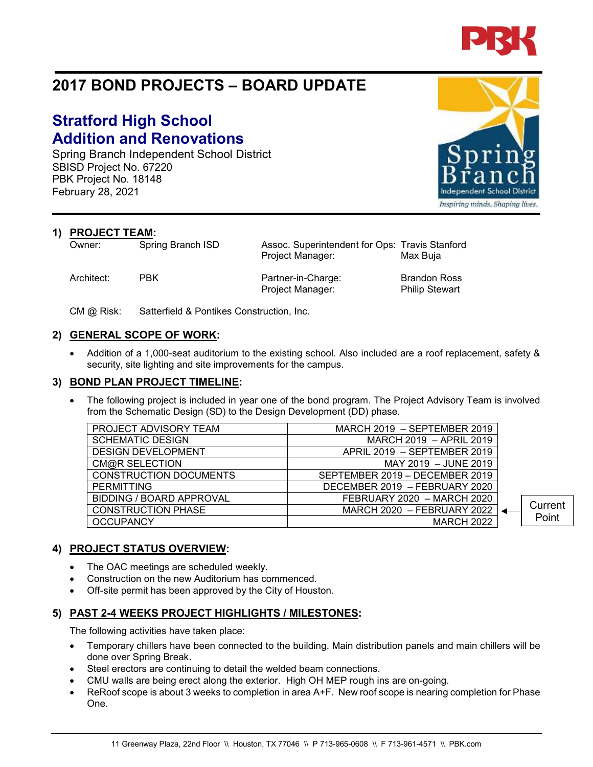

# **2017 BOND PROJECTS – BOARD UPDATE**

# **Stratford High School Addition and Renovations**

Spring Branch Independent School District SBISD Project No. 67220 PBK Project No. 18148 February 28, 2021

**1) PROJECT TEAM:**<br>Owner: Spring Branch ISD

Architect: PBK Partner-in-Charge: Brandon Ross Project Manager: Philip Stewart

Assoc. Superintendent for Ops: Travis Stanford Project Manager: Max Buja

CM @ Risk: Satterfield & Pontikes Construction, Inc.

### **2) GENERAL SCOPE OF WORK:**

• Addition of a 1,000-seat auditorium to the existing school. Also included are a roof replacement, safety & security, site lighting and site improvements for the campus.

#### **3) BOND PLAN PROJECT TIMELINE:**

The following project is included in year one of the bond program. The Project Advisory Team is involved from the Schematic Design (SD) to the Design Development (DD) phase.

| PROJECT ADVISORY TEAM           | MARCH 2019 - SEPTEMBER 2019    |         |
|---------------------------------|--------------------------------|---------|
| <b>SCHEMATIC DESIGN</b>         | MARCH 2019 - APRIL 2019        |         |
| <b>DESIGN DEVELOPMENT</b>       | APRIL 2019 - SEPTEMBER 2019    |         |
| CM@R SELECTION                  | MAY 2019 - JUNE 2019           |         |
| <b>CONSTRUCTION DOCUMENTS</b>   | SEPTEMBER 2019 - DECEMBER 2019 |         |
| <b>PERMITTING</b>               | DECEMBER 2019 - FEBRUARY 2020  |         |
| <b>BIDDING / BOARD APPROVAL</b> | FEBRUARY 2020 - MARCH 2020     |         |
| <b>CONSTRUCTION PHASE</b>       | MARCH 2020 - FEBRUARY 2022     | Current |
| <b>OCCUPANCY</b>                | <b>MARCH 2022</b>              | Point   |

### **4) PROJECT STATUS OVERVIEW:**

- The OAC meetings are scheduled weekly.
- Construction on the new Auditorium has commenced.
- Off-site permit has been approved by the City of Houston.

## **5) PAST 2-4 WEEKS PROJECT HIGHLIGHTS / MILESTONES:**

The following activities have taken place:

- Temporary chillers have been connected to the building. Main distribution panels and main chillers will be done over Spring Break.
- Steel erectors are continuing to detail the welded beam connections.
- CMU walls are being erect along the exterior. High OH MEP rough ins are on-going.
- ReRoof scope is about 3 weeks to completion in area A+F. New roof scope is nearing completion for Phase One.



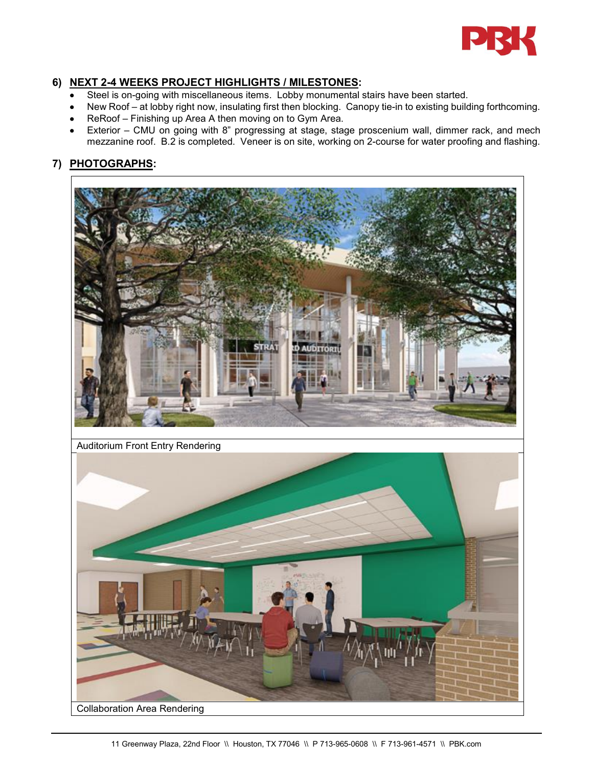

## **6) NEXT 2-4 WEEKS PROJECT HIGHLIGHTS / MILESTONES:**

- Steel is on-going with miscellaneous items. Lobby monumental stairs have been started.
- New Roof at lobby right now, insulating first then blocking. Canopy tie-in to existing building forthcoming.
- ReRoof Finishing up Area A then moving on to Gym Area.
- Exterior CMU on going with 8" progressing at stage, stage proscenium wall, dimmer rack, and mech mezzanine roof. B.2 is completed. Veneer is on site, working on 2-course for water proofing and flashing.

# **7) PHOTOGRAPHS:**



Auditorium Front Entry Rendering